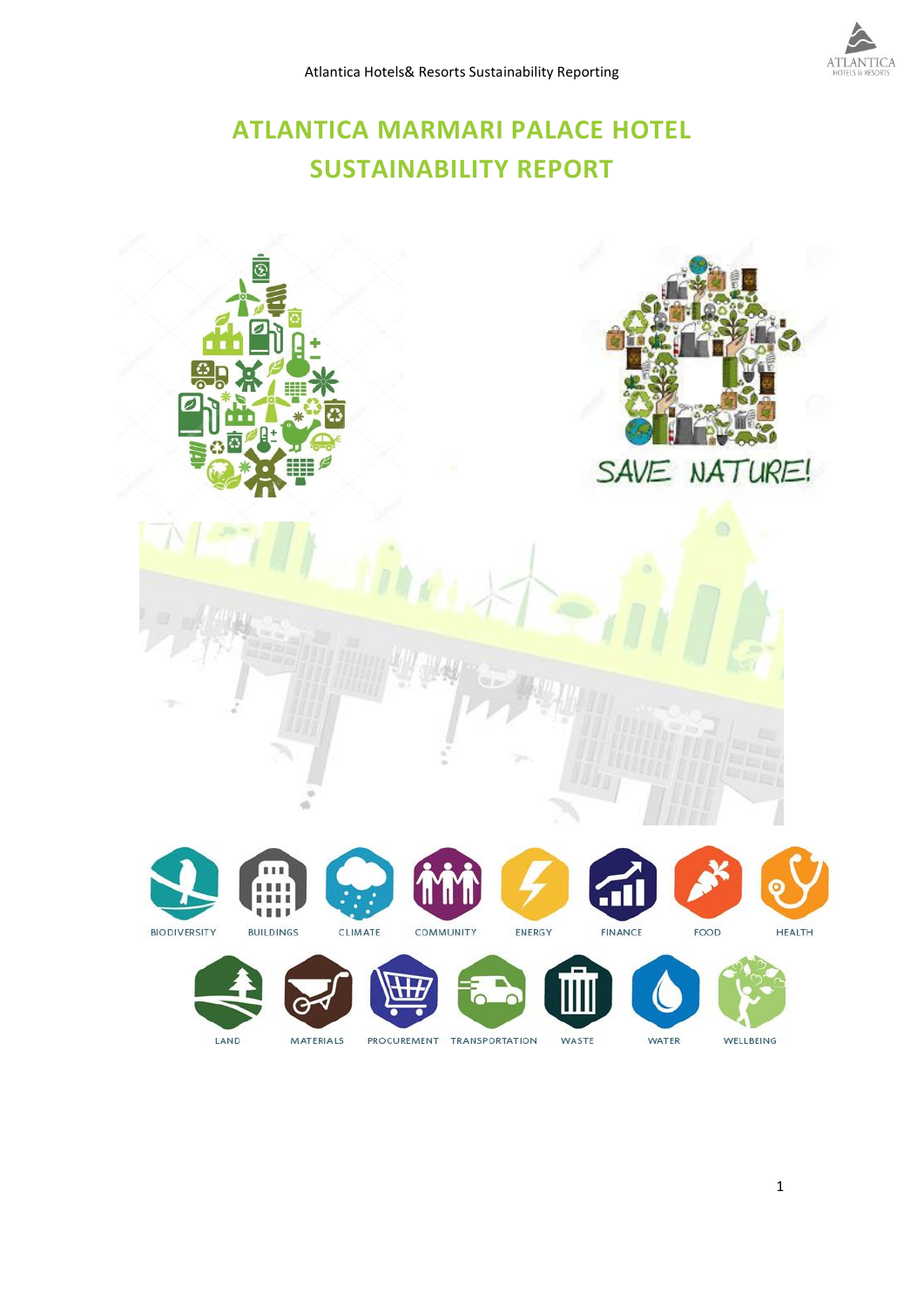# **ATLANTICA MARMARI PALACE HOTEL SUSTAINABILITY REPORT**

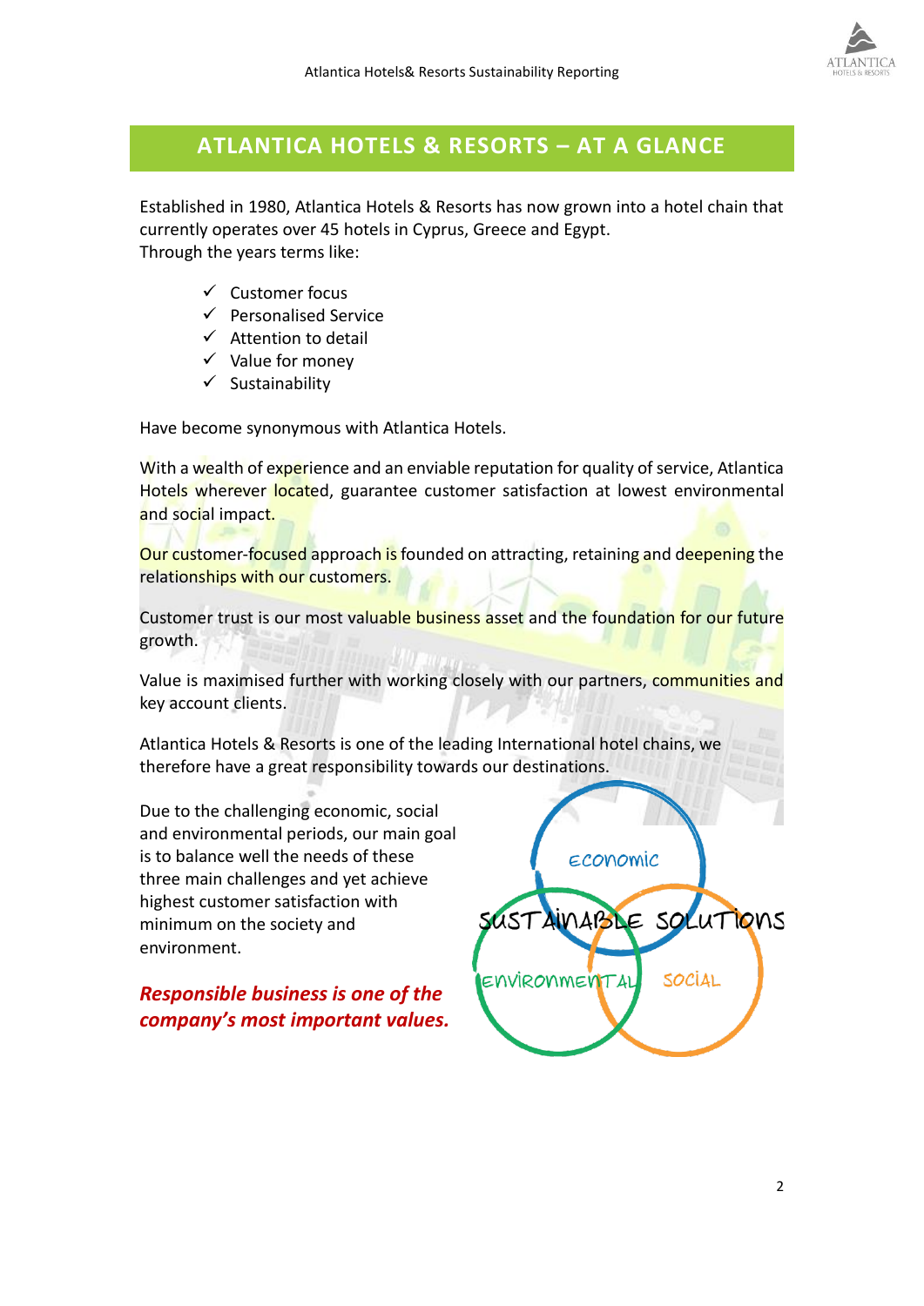

# **ATLANTICA HOTELS & RESORTS – AT A GLANCE**

Established in 1980, Atlantica Hotels & Resorts has now grown into a hotel chain that currently operates over 45 hotels in Cyprus, Greece and Egypt. Through the years terms like:

- ✓ Customer focus
- ✓ Personalised Service
- $\checkmark$  Attention to detail
- $\checkmark$  Value for money
- ✓ Sustainability

Have become synonymous with Atlantica Hotels.

With a wealth of experience and an enviable reputation for quality of service, Atlantica Hotels wherever located, guarantee customer satisfaction at lowest environmental and social impact.

Our customer-focused approach is founded on attracting, retaining and deepening the relationships with our customers.

Customer trust is our most valuable business asset and the foundation for our future growth.

Value is maximised further with working closely with our partners, communities and key account clients.

Atlantica Hotels & Resorts is one of the leading International hotel chains, we therefore have a great responsibility towards our destinations.

Due to the challenging economic, social and environmental periods, our main goal is to balance well the needs of these three main challenges and yet achieve highest customer satisfaction with minimum on the society and environment.

*Responsible business is one of the company's most important values.* 

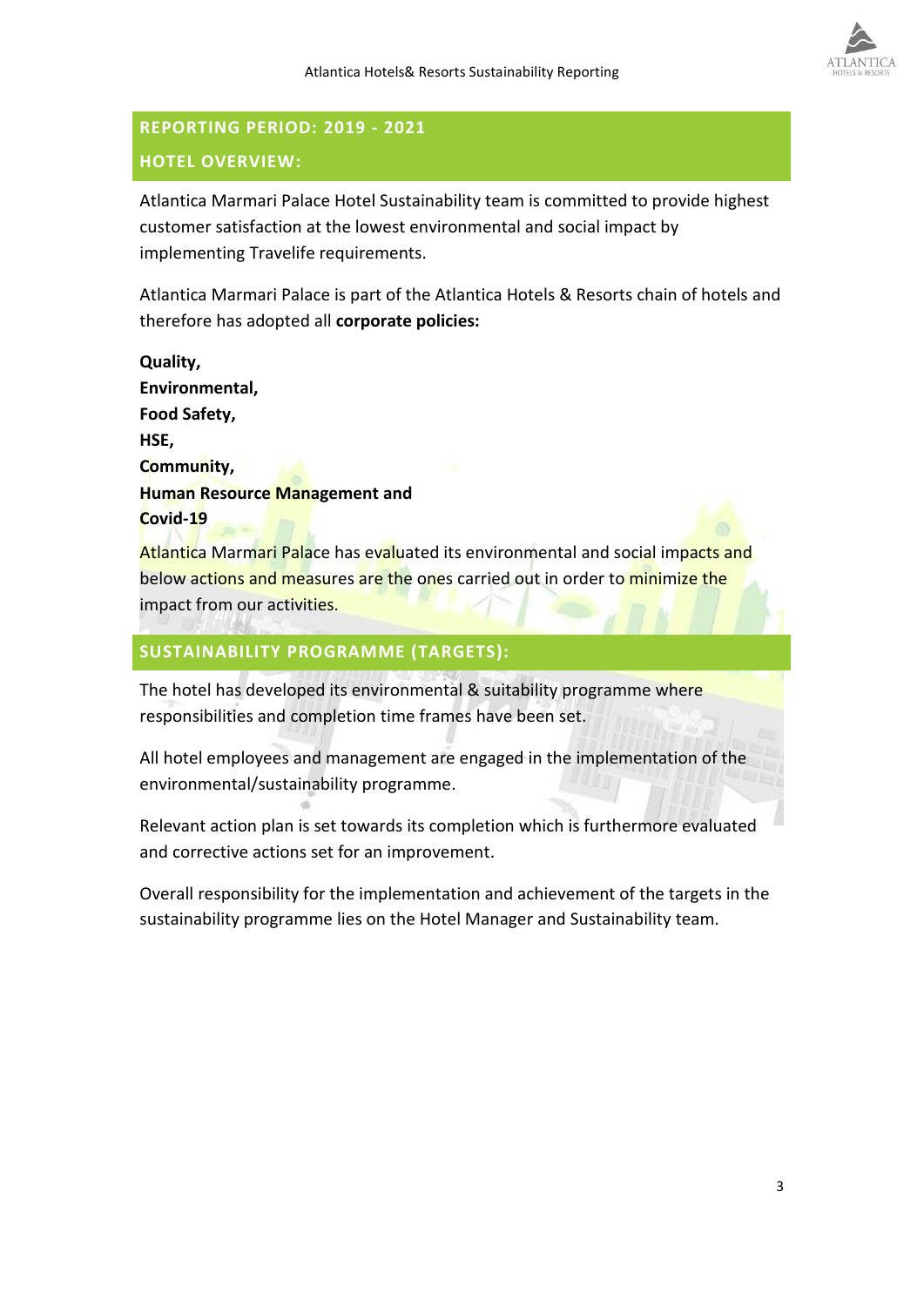

# **REPORTING PERIOD: 2019 - 2021 HOTEL OVERVIEW:**

Atlantica Marmari Palace Hotel Sustainability team is committed to provide highest customer satisfaction at the lowest environmental and social impact by implementing Travelife requirements.

Atlantica Marmari Palace is part of the Atlantica Hotels & Resorts chain of hotels and therefore has adopted all **corporate policies:**

**Quality, Environmental, Food Safety, HSE, Community, Human Resource Management and Covid-19**

Atlantica Marmari Palace has evaluated its environmental and social impacts and below actions and measures are the ones carried out in order to minimize the impact from our activities.

# **SUSTAINABILITY PROGRAMME (TARGETS):**

The hotel has developed its environmental & suitability programme where responsibilities and completion time frames have been set.

All hotel employees and management are engaged in the implementation of the environmental/sustainability programme.

Relevant action plan is set towards its completion which is furthermore evaluated and corrective actions set for an improvement.

Overall responsibility for the implementation and achievement of the targets in the sustainability programme lies on the Hotel Manager and Sustainability team.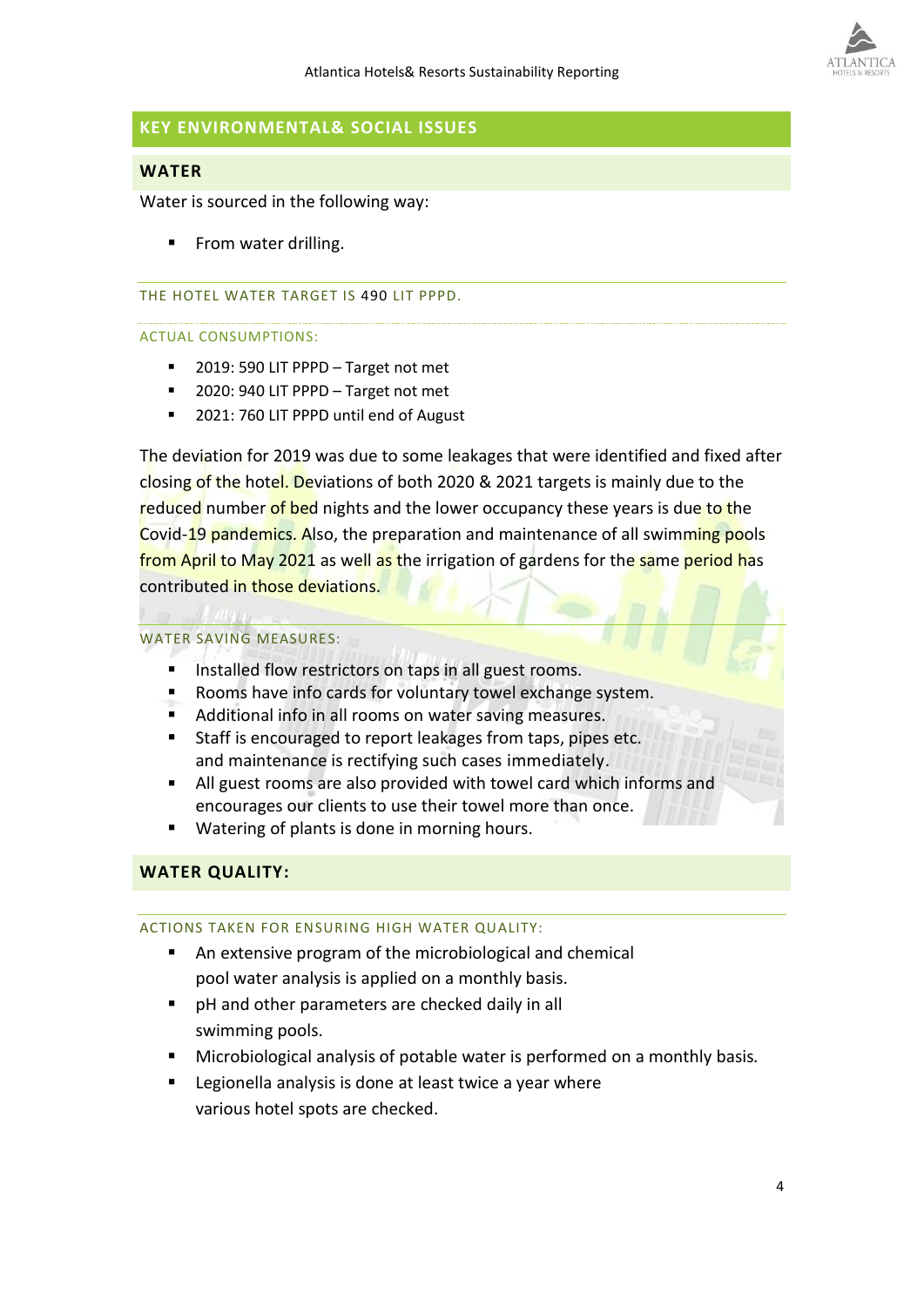

# **KEY ENVIRONMENTAL& SOCIAL ISSUES**

# **WATER**

Water is sourced in the following way:

From water drilling.

## THE HOTEL WATER TARGET IS 490 LIT PPPD.

## ACTUAL CONSUMPTIONS:

- 2019: 590 LIT PPPD Target not met
- 2020: 940 LIT PPPD Target not met
- 2021: 760 LIT PPPD until end of August

The deviation for 2019 was due to some leakages that were identified and fixed after closing of the hotel. Deviations of both 2020 & 2021 targets is mainly due to the reduced number of bed nights and the lower occupancy these years is due to the Covid-19 pandemics. Also, the preparation and maintenance of all swimming pools from April to May 2021 as well as the irrigation of gardens for the same period has contributed in those deviations.

# WATER SAVING MEASURES:

- Installed flow restrictors on taps in all guest rooms.
- Rooms have info cards for voluntary towel exchange system.
- Additional info in all rooms on water saving measures.
- Staff is encouraged to report leakages from taps, pipes etc. and maintenance is rectifying such cases immediately.
- All guest rooms are also provided with towel card which informs and encourages our clients to use their towel more than once.
- Watering of plants is done in morning hours.

# **WATER QUALITY:**

# ACTIONS TAKEN FOR ENSURING HIGH WATER QUALITY:

- An extensive program of the microbiological and chemical pool water analysis is applied on a monthly basis.
- pH and other parameters are checked daily in all swimming pools.
- Microbiological analysis of potable water is performed on a monthly basis.
- Legionella analysis is done at least twice a year where various hotel spots are checked.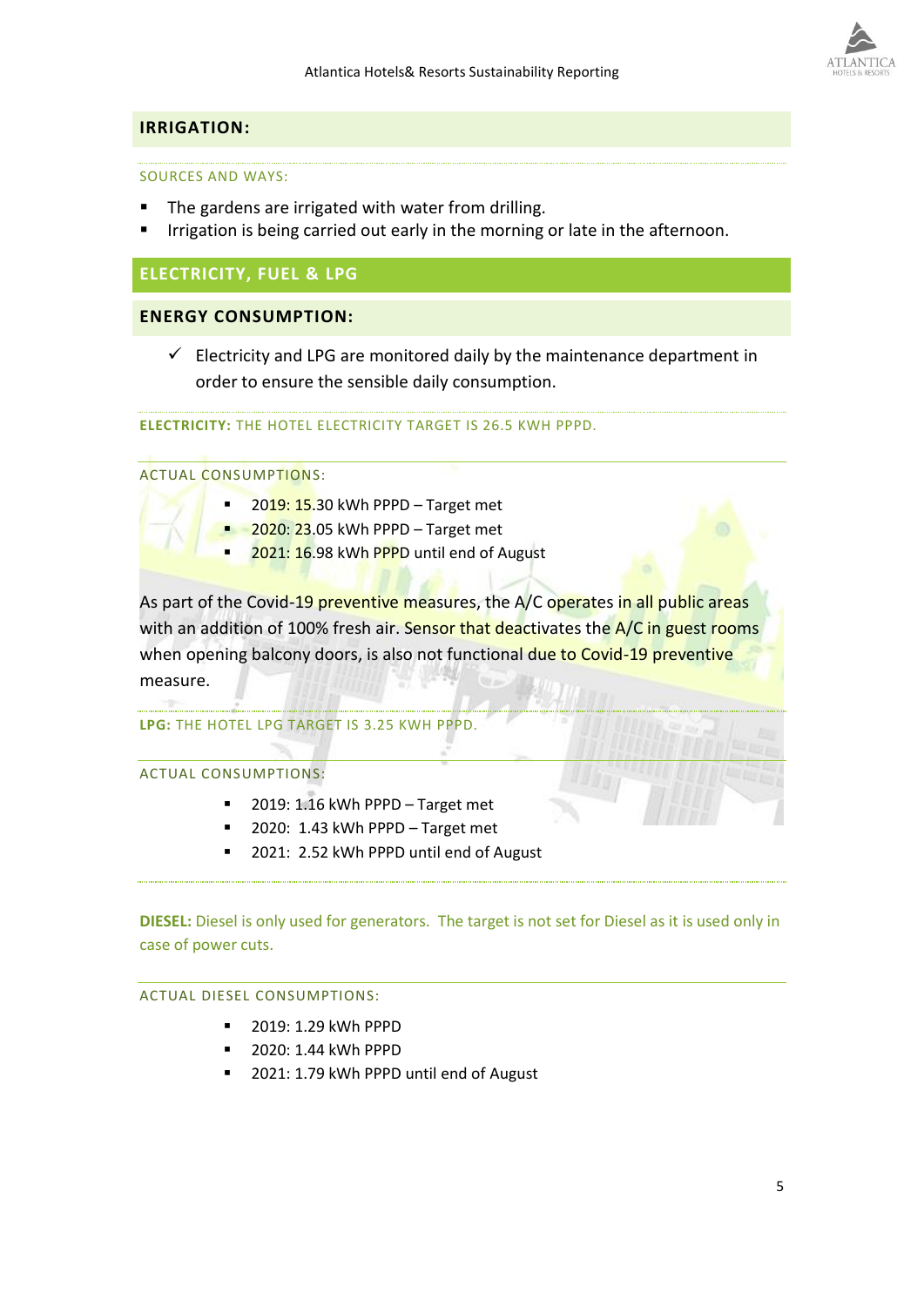# **IRRIGATION:**

## SOURCES AND WAYS:

- The gardens are irrigated with water from drilling.
- Irrigation is being carried out early in the morning or late in the afternoon.

# **ELECTRICITY, FUEL & LPG**

# **ENERGY CONSUMPTION:**

 $\checkmark$  Electricity and LPG are monitored daily by the maintenance department in order to ensure the sensible daily consumption.

**ELECTRICITY:** THE HOTEL ELECTRICITY TARGET IS 26.5 KWH PPPD.

## ACTUAL CONSUMPTIONS:

- $2019: 15.30$  kWh PPPD Target met
- 2020: 23.05 kWh PPPD Target met
- 2021: 16.98 kWh PPPD until end of August

As part of the Covid-19 preventive measures, the A/C operates in all public areas with an addition of 100% fresh air. Sensor that deactivates the A/C in guest rooms when opening balcony doors, is also not functional due to Covid-19 preventive measure.

**LPG:** THE HOTEL LPG TARGET IS 3.25 KWH PPPD.

## ACTUAL CONSUMPTIONS:

- 2019: 1.16 kWh PPPD Target met
- 2020: 1.43 kWh PPPD Target met
- 2021: 2.52 kWh PPPD until end of August

**DIESEL:** Diesel is only used for generators. The target is not set for Diesel as it is used only in case of power cuts.

# ACTUAL DIESEL CONSUMPTIONS:

- 2019: 1.29 kWh PPPD
- 2020: 1.44 kWh PPPD
- 2021: 1.79 kWh PPPD until end of August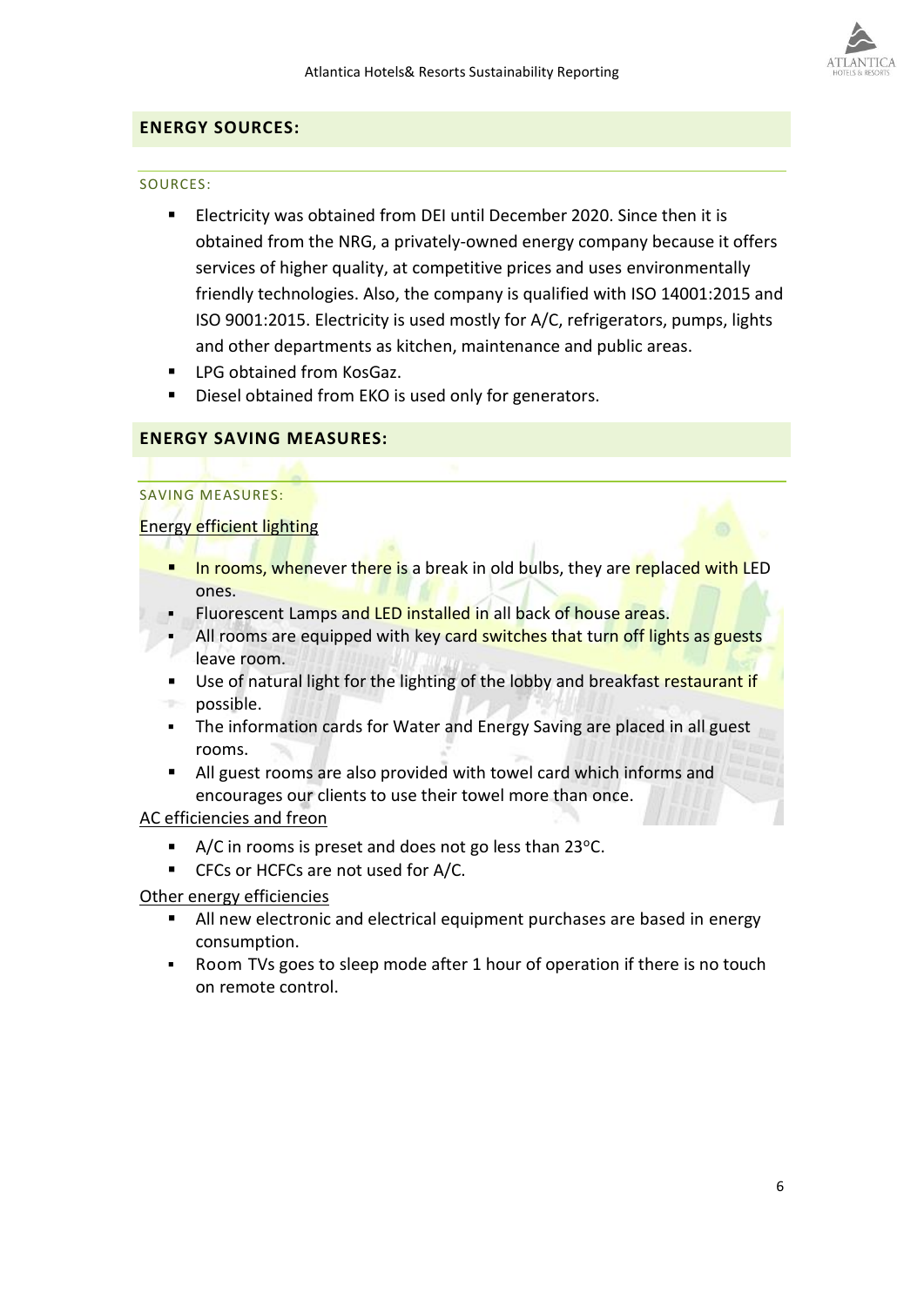

# **ENERGY SOURCES:**

## SOURCES:

- Electricity was obtained from DEI until December 2020. Since then it is obtained from the NRG, a privately-owned energy company because it offers services of higher quality, at competitive prices and uses environmentally friendly technologies. Also, the company is qualified with ISO 14001:2015 and ISO 9001:2015. Electricity is used mostly for A/C, refrigerators, pumps, lights and other departments as kitchen, maintenance and public areas.
- LPG obtained from KosGaz.
- Diesel obtained from EKO is used only for generators.

# **ENERGY SAVING MEASURES:**

# SAVING MEASURES:

# Energy efficient lighting

- **The Indian Entity in the U.S.** In the rest in or a break in old bulbs, they are replaced with LED ones.
- Fluorescent Lamps and LED installed in all back of house areas.
- All rooms are equipped with key card switches that turn off lights as guests leave room.
- Use of natural light for the lighting of the lobby and breakfast restaurant if possible.
- **The information cards for Water and Energy Saving are placed in all guest** rooms.
- All guest rooms are also provided with towel card which informs and encourages our clients to use their towel more than once.

# AC efficiencies and freon

- $\blacksquare$  A/C in rooms is preset and does not go less than 23°C.
- CFCs or HCFCs are not used for A/C.

# Other energy efficiencies

- All new electronic and electrical equipment purchases are based in energy consumption.
- Room TVs goes to sleep mode after 1 hour of operation if there is no touch on remote control.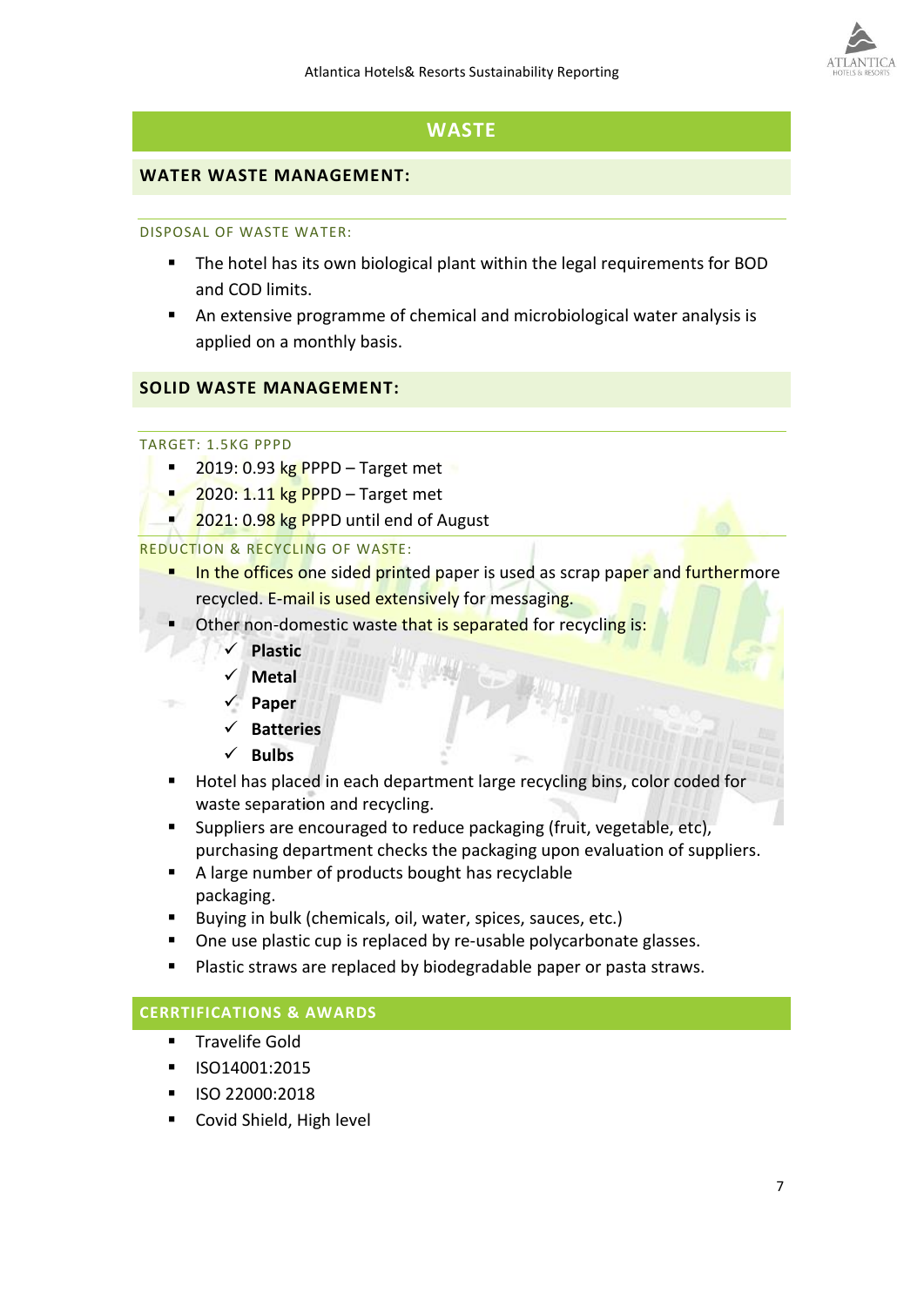

# **WASTE**

# **WATER WASTE MANAGEMENT:**

# DISPOSAL OF WASTE WATER:

- The hotel has its own biological plant within the legal requirements for BOD and COD limits.
- An extensive programme of chemical and microbiological water analysis is applied on a monthly basis.

# **SOLID WASTE MANAGEMENT:**

# TARGET: 1.5KG PPPD

- $2019: 0.93$  kg PPPD Target met
- $2020: 1.11$  kg PPPD Target met
	- $2021: 0.98$  kg PPPD until end of August

# REDUCTION & RECYCLING OF WASTE:

- In the offices one sided printed paper is used as scrap paper and furthermore recycled. E-mail is used extensively for messaging.
- Other non-domestic waste that is separated for recycling is:
	- ✓ **Plastic**
	- ✓ **Metal**
	- ✓ **Paper**
	- ✓ **Batteries**
	- ✓ **Bulbs**
- Hotel has placed in each department large recycling bins, color coded for waste separation and recycling.
- Suppliers are encouraged to reduce packaging (fruit, vegetable, etc), purchasing department checks the packaging upon evaluation of suppliers.
- A large number of products bought has recyclable packaging.
- Buying in bulk (chemicals, oil, water, spices, sauces, etc.)
- One use plastic cup is replaced by re-usable polycarbonate glasses.
- Plastic straws are replaced by biodegradable paper or pasta straws.

# **CERRTIFICATIONS & AWARDS**

- **Travelife Gold**
- ISO14001:2015
- ISO 22000:2018
- Covid Shield, High level